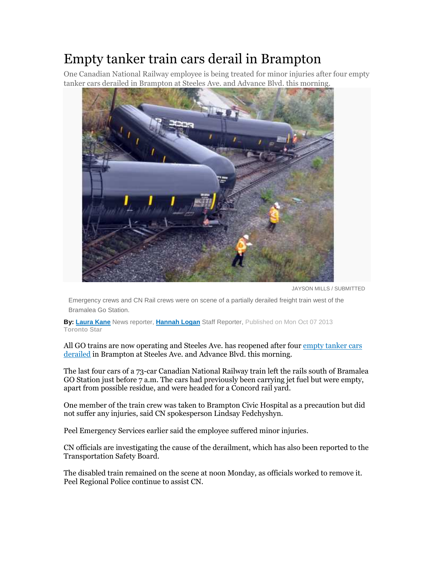## Empty tanker train cars derail in Brampton

One Canadian National Railway employee is being treated for minor injuries after four empty tanker cars derailed in Brampton at Steeles Ave. and Advance Blvd. this morning.



JAYSON MILLS / SUBMITTED

Emergency crews and CN Rail crews were on scene of a partially derailed freight train west of the Bramalea Go Station.

**By: Laura Kane** News reporter, **Hannah Logan** Staff Reporter, Published on Mon Oct 07 2013 **Toronto Star**

All GO trains are now operating and Steeles Ave. has reopened after four empty tanker cars derailed in Brampton at Steeles Ave. and Advance Blvd. this morning.

The last four cars of a 73-car Canadian National Railway train left the rails south of Bramalea GO Station just before 7 a.m. The cars had previously been carrying jet fuel but were empty, apart from possible residue, and were headed for a Concord rail yard.

One member of the train crew was taken to Brampton Civic Hospital as a precaution but did not suffer any injuries, said CN spokesperson Lindsay Fedchyshyn.

Peel Emergency Services earlier said the employee suffered minor injuries.

CN officials are investigating the cause of the derailment, which has also been reported to the Transportation Safety Board.

The disabled train remained on the scene at noon Monday, as officials worked to remove it. Peel Regional Police continue to assist CN.